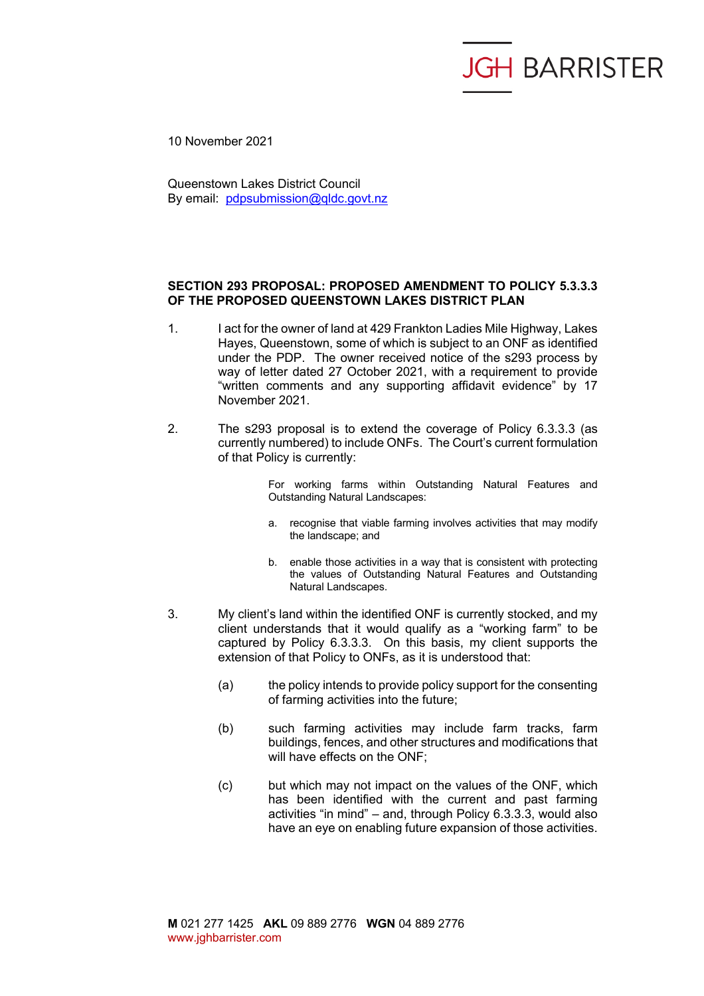## **JGH BARRISTER**

10 November 2021

Queenstown Lakes District Council By email: pdpsubmission@qldc.govt.nz

## **SECTION 293 PROPOSAL: PROPOSED AMENDMENT TO POLICY 5.3.3.3 OF THE PROPOSED QUEENSTOWN LAKES DISTRICT PLAN**

- 1. I act for the owner of land at 429 Frankton Ladies Mile Highway, Lakes Hayes, Queenstown, some of which is subject to an ONF as identified under the PDP. The owner received notice of the s293 process by way of letter dated 27 October 2021, with a requirement to provide "written comments and any supporting affidavit evidence" by 17 November 2021.
- 2. The s293 proposal is to extend the coverage of Policy 6.3.3.3 (as currently numbered) to include ONFs. The Court's current formulation of that Policy is currently:

For working farms within Outstanding Natural Features and Outstanding Natural Landscapes:

- a. recognise that viable farming involves activities that may modify the landscape; and
- b. enable those activities in a way that is consistent with protecting the values of Outstanding Natural Features and Outstanding Natural Landscapes.
- 3. My client's land within the identified ONF is currently stocked, and my client understands that it would qualify as a "working farm" to be captured by Policy 6.3.3.3. On this basis, my client supports the extension of that Policy to ONFs, as it is understood that:
	- (a) the policy intends to provide policy support for the consenting of farming activities into the future;
	- (b) such farming activities may include farm tracks, farm buildings, fences, and other structures and modifications that will have effects on the ONF;
	- (c) but which may not impact on the values of the ONF, which has been identified with the current and past farming activities "in mind" – and, through Policy 6.3.3.3, would also have an eye on enabling future expansion of those activities.